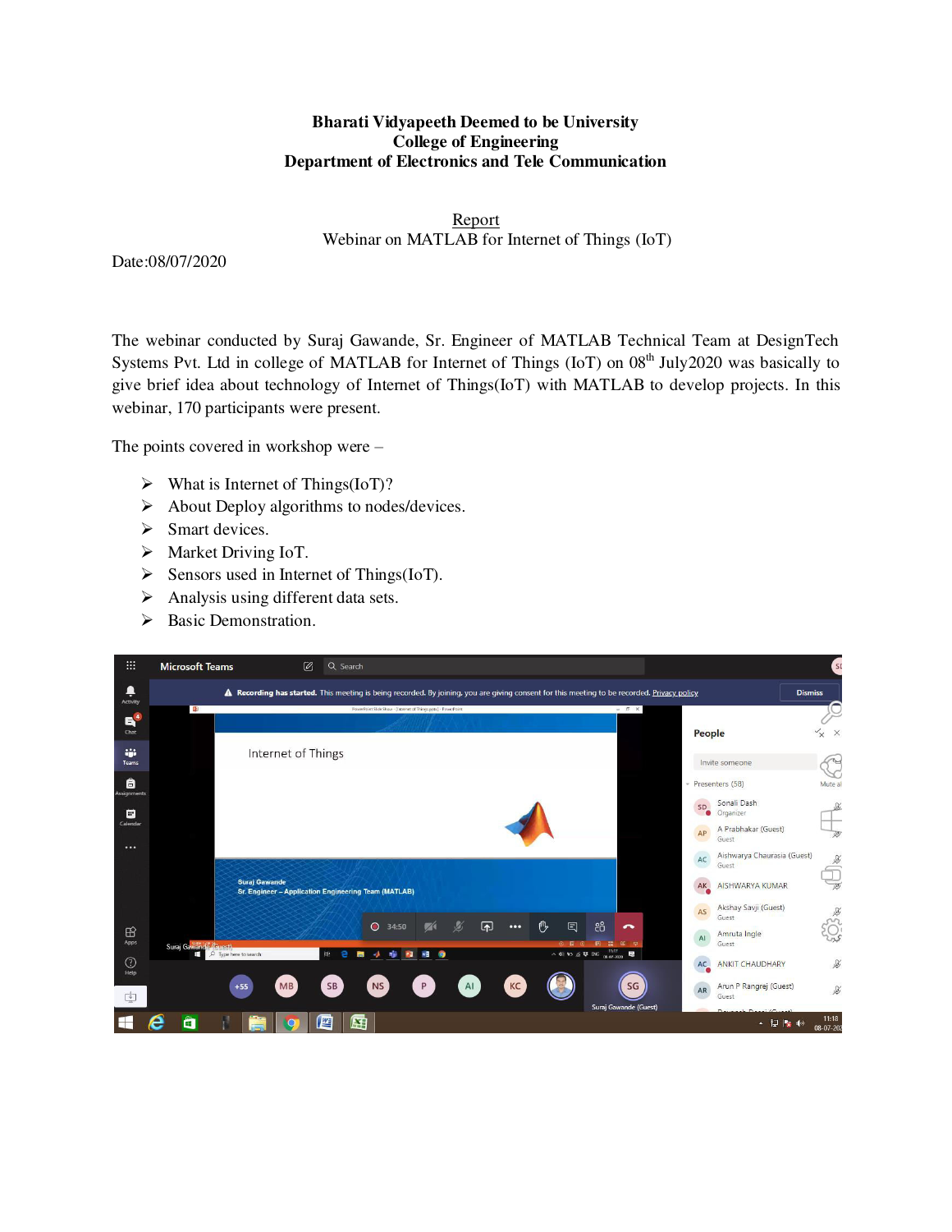## **Bharati Vidyapeeth Deemed to be University College of Engineering Department of Electronics and Tele Communication**

Report Webinar on MATLAB for Internet of Things (IoT)

Date:08/07/2020

The webinar conducted by Suraj Gawande, Sr. Engineer of MATLAB Technical Team at DesignTech Systems Pvt. Ltd in college of MATLAB for Internet of Things (IoT) on 08<sup>th</sup> July2020 was basically to give brief idea about technology of Internet of Things(IoT) with MATLAB to develop projects. In this webinar, 170 participants were present.

The points covered in workshop were –

- $\triangleright$  What is Internet of Things(IoT)?
- $\triangleright$  About Deploy algorithms to nodes/devices.
- $\triangleright$  Smart devices.
- > Market Driving IoT.
- $\triangleright$  Sensors used in Internet of Things(IoT).
- $\triangleright$  Analysis using different data sets.
- $\triangleright$  Basic Demonstration.